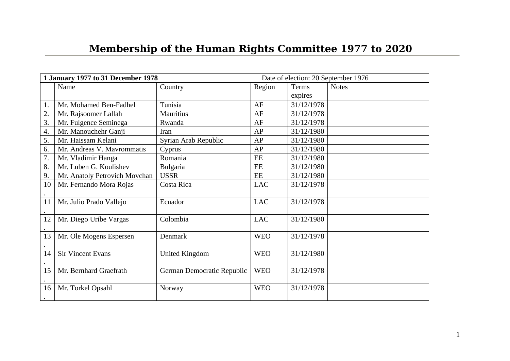## **Membership of the Human Rights Committee 1977 to 2020**

| 1 January 1977 to 31 December 1978 |                               |                            |            | Date of election: 20 September 1976 |              |  |
|------------------------------------|-------------------------------|----------------------------|------------|-------------------------------------|--------------|--|
|                                    | Name                          | Country                    | Region     | Terms                               | <b>Notes</b> |  |
|                                    |                               |                            |            | expires                             |              |  |
| 1.                                 | Mr. Mohamed Ben-Fadhel        | Tunisia                    | AF         | 31/12/1978                          |              |  |
| 2.                                 | Mr. Rajsoomer Lallah          | <b>Mauritius</b>           | AF         | 31/12/1978                          |              |  |
| 3.                                 | Mr. Fulgence Seminega         | Rwanda                     | AF         | 31/12/1978                          |              |  |
| 4.                                 | Mr. Manouchehr Ganji          | <b>Iran</b>                | AP         | 31/12/1980                          |              |  |
| 5.                                 | Mr. Haissam Kelani            | Syrian Arab Republic       | AP         | 31/12/1980                          |              |  |
| 6.                                 | Mr. Andreas V. Mavrommatis    | Cyprus                     | AP         | 31/12/1980                          |              |  |
| 7.                                 | Mr. Vladimir Hanga            | Romania                    | EE         | 31/12/1980                          |              |  |
| 8.                                 | Mr. Luben G. Koulishev        | <b>Bulgaria</b>            | EE         | 31/12/1980                          |              |  |
| 9.                                 | Mr. Anatoly Petrovich Movchan | <b>USSR</b>                | EE         | 31/12/1980                          |              |  |
| 10                                 | Mr. Fernando Mora Rojas       | Costa Rica                 | <b>LAC</b> | 31/12/1978                          |              |  |
|                                    |                               |                            |            |                                     |              |  |
| 11                                 | Mr. Julio Prado Vallejo       | Ecuador                    | <b>LAC</b> | 31/12/1978                          |              |  |
|                                    |                               |                            |            |                                     |              |  |
| 12                                 | Mr. Diego Uribe Vargas        | Colombia                   | <b>LAC</b> | 31/12/1980                          |              |  |
|                                    |                               |                            |            |                                     |              |  |
| 13                                 | Mr. Ole Mogens Espersen       | Denmark                    | <b>WEO</b> | 31/12/1978                          |              |  |
|                                    |                               |                            |            |                                     |              |  |
| 14                                 | <b>Sir Vincent Evans</b>      | <b>United Kingdom</b>      | <b>WEO</b> | 31/12/1980                          |              |  |
|                                    |                               |                            |            |                                     |              |  |
| 15                                 | Mr. Bernhard Graefrath        | German Democratic Republic | <b>WEO</b> | 31/12/1978                          |              |  |
|                                    |                               |                            |            |                                     |              |  |
| 16                                 | Mr. Torkel Opsahl             | Norway                     | <b>WEO</b> | 31/12/1978                          |              |  |
|                                    |                               |                            |            |                                     |              |  |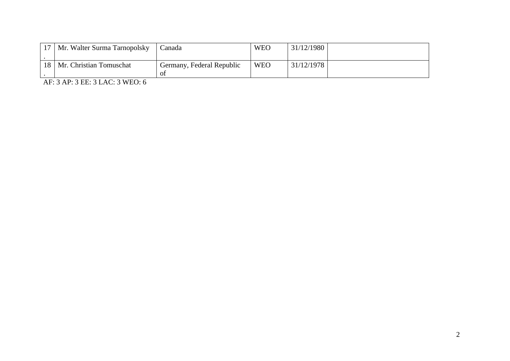|    | 17   Mr. Walter Surma Tarnopolsky | Canada                          | <b>WEO</b> | 31/12/1980 |  |
|----|-----------------------------------|---------------------------------|------------|------------|--|
| 18 | Mr. Christian Tomuschat           | Germany, Federal Republic<br>Οİ | <b>WEO</b> | 31/12/1978 |  |

AF: 3 AP: 3 EE: 3 LAC: 3 WEO: 6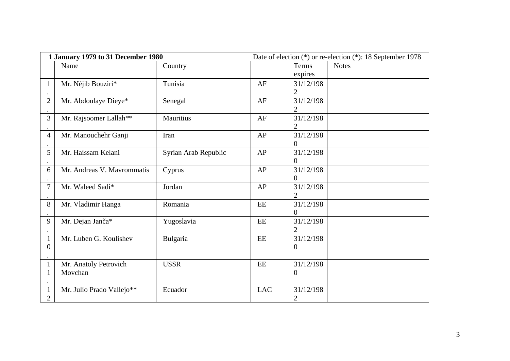| 1 January 1979 to 31 December 1980 |                            |                      | Date of election (*) or re-election (*): 18 September 1978 |                  |              |
|------------------------------------|----------------------------|----------------------|------------------------------------------------------------|------------------|--------------|
|                                    | Name                       | Country              |                                                            | <b>Terms</b>     | <b>Notes</b> |
|                                    |                            |                      |                                                            | expires          |              |
| $\mathbf{1}$                       | Mr. Néjib Bouziri*         | Tunisia              | AF                                                         | 31/12/198        |              |
|                                    |                            |                      |                                                            | 2                |              |
| $\overline{2}$                     | Mr. Abdoulaye Dieye*       | Senegal              | AF                                                         | 31/12/198        |              |
|                                    |                            |                      |                                                            | 2                |              |
| 3                                  | Mr. Rajsoomer Lallah**     | <b>Mauritius</b>     | AF                                                         | 31/12/198        |              |
|                                    |                            |                      |                                                            | 2                |              |
| 4                                  | Mr. Manouchehr Ganji       | Iran                 | AP                                                         | 31/12/198        |              |
|                                    |                            |                      |                                                            | 0                |              |
| 5                                  | Mr. Haissam Kelani         | Syrian Arab Republic | AP                                                         | 31/12/198        |              |
|                                    |                            |                      |                                                            | $\boldsymbol{0}$ |              |
| 6                                  | Mr. Andreas V. Mavrommatis | Cyprus               | AP                                                         | 31/12/198        |              |
|                                    |                            |                      |                                                            | $\overline{0}$   |              |
| 7                                  | Mr. Waleed Sadi*           | Jordan               | AP                                                         | 31/12/198        |              |
|                                    |                            |                      |                                                            | $\overline{2}$   |              |
| 8                                  | Mr. Vladimir Hanga         | Romania              | EE                                                         | 31/12/198        |              |
|                                    |                            |                      |                                                            | $\boldsymbol{0}$ |              |
| 9                                  | Mr. Dejan Janča*           | Yugoslavia           | EE                                                         | 31/12/198        |              |
|                                    |                            |                      |                                                            | 2                |              |
| $\mathbf{1}$                       | Mr. Luben G. Koulishev     | <b>Bulgaria</b>      | $\mathbf{EE}$                                              | 31/12/198        |              |
| $\overline{0}$                     |                            |                      |                                                            | 0                |              |
|                                    |                            |                      |                                                            |                  |              |
| $\mathbf{1}$                       | Mr. Anatoly Petrovich      | <b>USSR</b>          | $\mathbf{EE}$                                              | 31/12/198        |              |
| $\mathbf{1}$                       | Movchan                    |                      |                                                            | $\boldsymbol{0}$ |              |
|                                    |                            |                      |                                                            |                  |              |
| $\mathbf{1}$                       | Mr. Julio Prado Vallejo**  | Ecuador              | <b>LAC</b>                                                 | 31/12/198        |              |
| 2                                  |                            |                      |                                                            | 2                |              |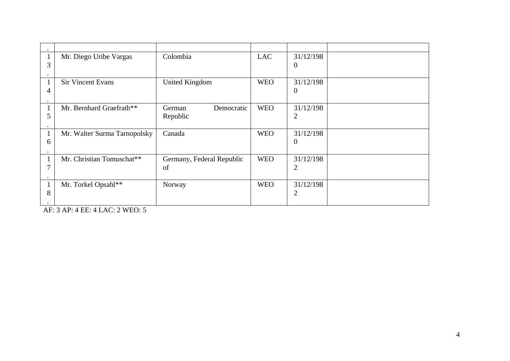|              | Mr. Diego Uribe Vargas       | Colombia                  | <b>LAC</b> | 31/12/198      |  |
|--------------|------------------------------|---------------------------|------------|----------------|--|
| 3            |                              |                           |            | $\overline{0}$ |  |
|              |                              |                           |            |                |  |
| $\mathbf{1}$ | <b>Sir Vincent Evans</b>     | <b>United Kingdom</b>     | <b>WEO</b> | 31/12/198      |  |
| 4            |                              |                           |            | $\Omega$       |  |
|              |                              |                           |            |                |  |
| $\mathbf{1}$ | Mr. Bernhard Graefrath**     | Democratic<br>German      | <b>WEO</b> | 31/12/198      |  |
| 5            |                              | Republic                  |            | $\overline{2}$ |  |
|              |                              |                           |            |                |  |
| 1            | Mr. Walter Surma Tarnopolsky | Canada                    | <b>WEO</b> | 31/12/198      |  |
| 6            |                              |                           |            | $\overline{0}$ |  |
|              |                              |                           |            |                |  |
| 1            | Mr. Christian Tomuschat**    | Germany, Federal Republic | <b>WEO</b> | 31/12/198      |  |
| 7            |                              | of                        |            | 2              |  |
| ٠            |                              |                           |            |                |  |
| $\mathbf{1}$ | Mr. Torkel Opsahl**          | Norway                    | <b>WEO</b> | 31/12/198      |  |
| 8            |                              |                           |            | 2              |  |
| ٠            |                              |                           |            |                |  |

AF: 3 AP: 4 EE: 4 LAC: 2 WEO: 5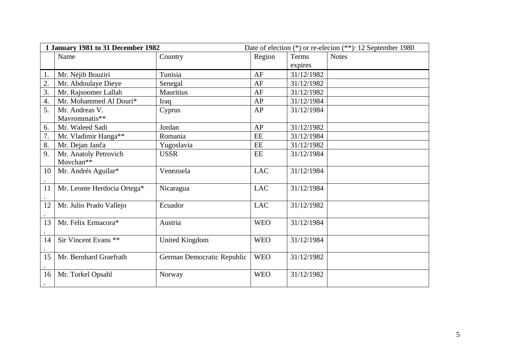| 1 January 1981 to 31 December 1982 |                                 |                            | Date of election (*) or re-elecion (**): 12 September 1980 |            |              |
|------------------------------------|---------------------------------|----------------------------|------------------------------------------------------------|------------|--------------|
|                                    | Name                            | Country                    | Region                                                     | Terms      | <b>Notes</b> |
|                                    |                                 |                            |                                                            | expires    |              |
| 1.                                 | Mr. Néjib Bouziri               | Tunisia                    | AF                                                         | 31/12/1982 |              |
| 2.                                 | Mr. Abdoulaye Dieye             | Senegal                    | AF                                                         | 31/12/1982 |              |
| 3.                                 | Mr. Rajsoomer Lallah            | <b>Mauritius</b>           | AF                                                         | 31/12/1982 |              |
| 4.                                 | Mr. Mohammed Al Douri*          | Iraq                       | AP                                                         | 31/12/1984 |              |
| 5.                                 | Mr. Andreas V.                  | Cyprus                     | AP                                                         | 31/12/1984 |              |
|                                    | Mavrommatis**                   |                            |                                                            |            |              |
| 6.                                 | Mr. Waleed Sadi                 | Jordan                     | AP                                                         | 31/12/1982 |              |
| 7.                                 | Mr. Vladimir Hanga**            | Romania                    | EE                                                         | 31/12/1984 |              |
| 8.                                 | Mr. Dejan Janča                 | Yugoslavia                 | EE                                                         | 31/12/1982 |              |
| 9.                                 | Mr. Anatoly Petrovich           | <b>USSR</b>                | EE                                                         | 31/12/1984 |              |
|                                    | Movchan**                       |                            |                                                            |            |              |
| 10                                 | Mr. Andrés Aguilar*             | Venezuela                  | <b>LAC</b>                                                 | 31/12/1984 |              |
| 11                                 | Mr. Leonte Herdocia Ortega*     | Nicaragua                  | <b>LAC</b>                                                 | 31/12/1984 |              |
|                                    |                                 |                            |                                                            |            |              |
| 12                                 | Mr. Julio Prado Vallejo         | Ecuador                    | <b>LAC</b>                                                 | 31/12/1982 |              |
| 13                                 | Mr. Felix Ermacora*             | Austria                    | <b>WEO</b>                                                 | 31/12/1984 |              |
|                                    |                                 |                            |                                                            |            |              |
| 14                                 | Sir Vincent Evans <sup>**</sup> | <b>United Kingdom</b>      | <b>WEO</b>                                                 | 31/12/1984 |              |
| 15                                 | Mr. Bernhard Graefrath          | German Democratic Republic | <b>WEO</b>                                                 | 31/12/1982 |              |
| 16                                 | Mr. Torkel Opsahl               | Norway                     | <b>WEO</b>                                                 | 31/12/1982 |              |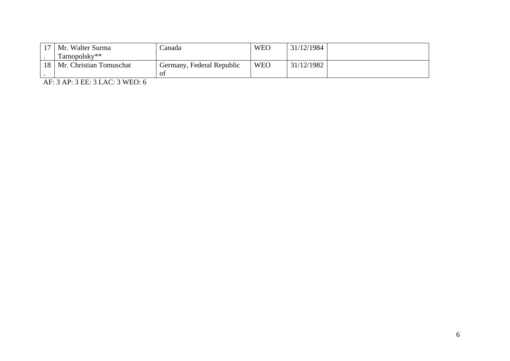|    | 17   Mr. Walter Surma   | lanada                    | <b>WEO</b> | 31/12/1984 |  |
|----|-------------------------|---------------------------|------------|------------|--|
|    | Tarnopolsky**           |                           |            |            |  |
| 18 | Mr. Christian Tomuschat | Germany, Federal Republic | <b>WEO</b> | 31/12/1982 |  |
|    |                         | 01                        |            |            |  |

AF: 3 AP: 3 EE: 3 LAC: 3 WEO: 6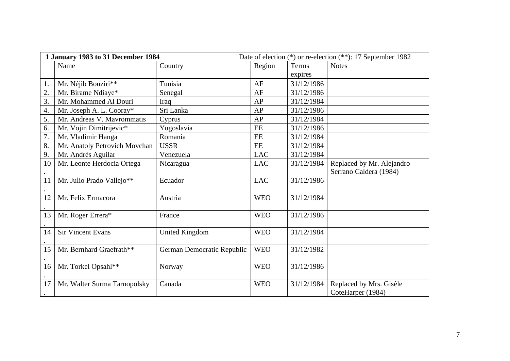| 1 January 1983 to 31 December 1984 |                               |                            | Date of election (*) or re-election (**): 17 September 1982 |            |                                                     |
|------------------------------------|-------------------------------|----------------------------|-------------------------------------------------------------|------------|-----------------------------------------------------|
|                                    | Name                          | Country                    | Region                                                      | Terms      | <b>Notes</b>                                        |
|                                    |                               |                            |                                                             | expires    |                                                     |
| 1.                                 | Mr. Néjib Bouziri**           | Tunisia                    | AF                                                          | 31/12/1986 |                                                     |
| 2.                                 | Mr. Birame Ndiaye*            | Senegal                    | AF                                                          | 31/12/1986 |                                                     |
| 3.                                 | Mr. Mohammed Al Douri         | Iraq                       | AP                                                          | 31/12/1984 |                                                     |
| 4.                                 | Mr. Joseph A. L. Cooray*      | Sri Lanka                  | AP                                                          | 31/12/1986 |                                                     |
| 5.                                 | Mr. Andreas V. Mavrommatis    | Cyprus                     | AP                                                          | 31/12/1984 |                                                     |
| 6.                                 | Mr. Vojin Dimitrijevic*       | Yugoslavia                 | EE                                                          | 31/12/1986 |                                                     |
| 7.                                 | Mr. Vladimir Hanga            | Romania                    | EE                                                          | 31/12/1984 |                                                     |
| 8.                                 | Mr. Anatoly Petrovich Movchan | <b>USSR</b>                | EE                                                          | 31/12/1984 |                                                     |
| 9.                                 | Mr. Andrés Aguilar            | Venezuela                  | <b>LAC</b>                                                  | 31/12/1984 |                                                     |
| 10                                 | Mr. Leonte Herdocia Ortega    | Nicaragua                  | <b>LAC</b>                                                  | 31/12/1984 | Replaced by Mr. Alejandro<br>Serrano Caldera (1984) |
| 11                                 | Mr. Julio Prado Vallejo**     | Ecuador                    | <b>LAC</b>                                                  | 31/12/1986 |                                                     |
| 12                                 | Mr. Felix Ermacora            | Austria                    | <b>WEO</b>                                                  | 31/12/1984 |                                                     |
| 13                                 | Mr. Roger Errera*             | France                     | <b>WEO</b>                                                  | 31/12/1986 |                                                     |
| 14                                 | <b>Sir Vincent Evans</b>      | <b>United Kingdom</b>      | <b>WEO</b>                                                  | 31/12/1984 |                                                     |
| 15                                 | Mr. Bernhard Graefrath**      | German Democratic Republic | <b>WEO</b>                                                  | 31/12/1982 |                                                     |
| 16                                 | Mr. Torkel Opsahl**           | Norway                     | <b>WEO</b>                                                  | 31/12/1986 |                                                     |
| 17                                 | Mr. Walter Surma Tarnopolsky  | Canada                     | <b>WEO</b>                                                  | 31/12/1984 | Replaced by Mrs. Gisèle<br>CoteHarper (1984)        |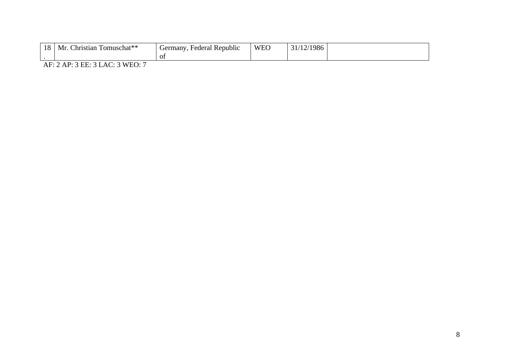| 18<br>Mr. | ⊥omuschat**<br>. .hristiar | - 7. 6<br>rmany.<br>Federal<br>$ \alpha$ rr<br>. Kenublic<br>0I | <b>WEC</b> | .986 |  |
|-----------|----------------------------|-----------------------------------------------------------------|------------|------|--|
|-----------|----------------------------|-----------------------------------------------------------------|------------|------|--|

AF: 2 AP: 3 EE: 3 LAC: 3 WEO: 7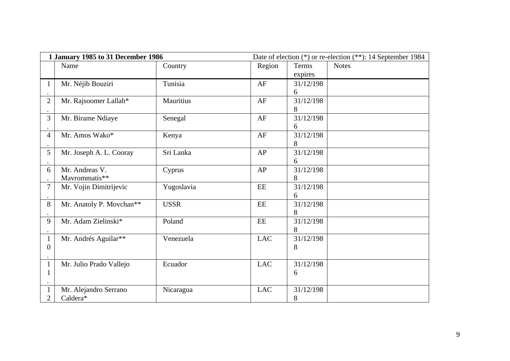| 1 January 1985 to 31 December 1986 |                          |             | Date of election (*) or re-election (**): 14 September 1984 |              |              |
|------------------------------------|--------------------------|-------------|-------------------------------------------------------------|--------------|--------------|
|                                    | Name                     | Country     | Region                                                      | <b>Terms</b> | <b>Notes</b> |
|                                    |                          |             |                                                             | expires      |              |
| $\mathbf{1}$                       | Mr. Néjib Bouziri        | Tunisia     | AF                                                          | 31/12/198    |              |
|                                    |                          |             |                                                             | 6            |              |
| $\overline{2}$                     | Mr. Rajsoomer Lallah*    | Mauritius   | AF                                                          | 31/12/198    |              |
|                                    |                          |             |                                                             | 8            |              |
| 3                                  | Mr. Birame Ndiaye        | Senegal     | AF                                                          | 31/12/198    |              |
|                                    |                          |             |                                                             | 6            |              |
| $\overline{4}$                     | Mr. Amos Wako*           | Kenya       | AF                                                          | 31/12/198    |              |
|                                    |                          |             |                                                             | 8            |              |
| 5                                  | Mr. Joseph A. L. Cooray  | Sri Lanka   | AP                                                          | 31/12/198    |              |
|                                    |                          |             |                                                             | 6            |              |
| 6                                  | Mr. Andreas V.           | Cyprus      | AP                                                          | 31/12/198    |              |
|                                    | Mavrommatis**            |             |                                                             | 8            |              |
| 7                                  | Mr. Vojin Dimitrijevic   | Yugoslavia  | EE                                                          | 31/12/198    |              |
|                                    |                          |             |                                                             | 6            |              |
| 8                                  | Mr. Anatoly P. Movchan** | <b>USSR</b> | EE                                                          | 31/12/198    |              |
|                                    |                          |             |                                                             | 8            |              |
| 9                                  | Mr. Adam Zielinski*      | Poland      | EE                                                          | 31/12/198    |              |
|                                    |                          |             |                                                             | 8            |              |
| $\mathbf{1}$                       | Mr. Andrés Aguilar**     | Venezuela   | <b>LAC</b>                                                  | 31/12/198    |              |
| $\overline{0}$                     |                          |             |                                                             | 8            |              |
|                                    |                          |             |                                                             |              |              |
| $\mathbf{1}$                       | Mr. Julio Prado Vallejo  | Ecuador     | <b>LAC</b>                                                  | 31/12/198    |              |
| $\mathbf{1}$                       |                          |             |                                                             | 6            |              |
|                                    |                          |             |                                                             |              |              |
| $\mathbf{1}$                       | Mr. Alejandro Serrano    | Nicaragua   | <b>LAC</b>                                                  | 31/12/198    |              |
| 2                                  | Caldera*                 |             |                                                             | 8            |              |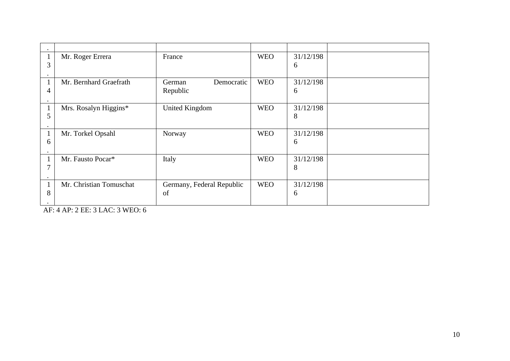|   | Mr. Roger Errera        | France                    | <b>WEO</b> | 31/12/198 |  |
|---|-------------------------|---------------------------|------------|-----------|--|
| 3 |                         |                           |            | 6         |  |
|   |                         |                           |            |           |  |
|   |                         |                           |            |           |  |
|   | Mr. Bernhard Graefrath  | Democratic<br>German      | <b>WEO</b> | 31/12/198 |  |
| 4 |                         | Republic                  |            | 6         |  |
|   |                         |                           |            |           |  |
|   |                         |                           |            |           |  |
|   | Mrs. Rosalyn Higgins*   | <b>United Kingdom</b>     | <b>WEO</b> | 31/12/198 |  |
| 5 |                         |                           |            | 8         |  |
|   |                         |                           |            |           |  |
|   | Mr. Torkel Opsahl       | Norway                    | <b>WEO</b> | 31/12/198 |  |
| 6 |                         |                           |            | 6         |  |
|   |                         |                           |            |           |  |
|   |                         |                           |            |           |  |
|   | Mr. Fausto Pocar*       | Italy                     | <b>WEO</b> | 31/12/198 |  |
| 7 |                         |                           |            | 8         |  |
|   |                         |                           |            |           |  |
|   |                         |                           |            |           |  |
|   | Mr. Christian Tomuschat | Germany, Federal Republic | <b>WEO</b> | 31/12/198 |  |
| 8 |                         | of                        |            | 6         |  |
|   |                         |                           |            |           |  |
|   |                         |                           |            |           |  |

AF: 4 AP: 2 EE: 3 LAC: 3 WEO: 6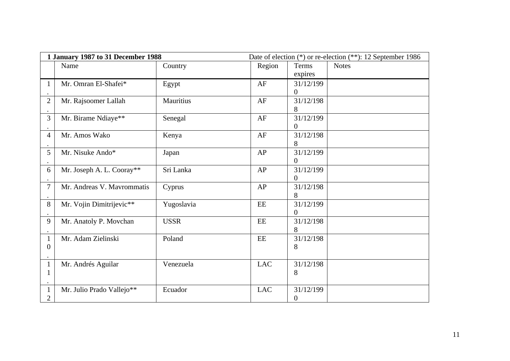| 1 January 1987 to 31 December 1988 |                            |                  | Date of election (*) or re-election (**): 12 September 1986 |                  |              |
|------------------------------------|----------------------------|------------------|-------------------------------------------------------------|------------------|--------------|
|                                    | Name                       | Country          | Region                                                      | Terms            | <b>Notes</b> |
|                                    |                            |                  |                                                             | expires          |              |
| $\mathbf{1}$                       | Mr. Omran El-Shafei*       | Egypt            | AF                                                          | 31/12/199        |              |
|                                    |                            |                  |                                                             | $\boldsymbol{0}$ |              |
| $\overline{2}$                     | Mr. Rajsoomer Lallah       | <b>Mauritius</b> | AF                                                          | 31/12/198        |              |
|                                    |                            |                  |                                                             | 8                |              |
| $\overline{3}$                     | Mr. Birame Ndiaye**        | Senegal          | AF                                                          | 31/12/199        |              |
|                                    |                            |                  |                                                             | $\overline{0}$   |              |
| $\overline{4}$                     | Mr. Amos Wako              | Kenya            | AF                                                          | 31/12/198        |              |
|                                    |                            |                  |                                                             | 8                |              |
| 5                                  | Mr. Nisuke Ando*           | Japan            | AP                                                          | 31/12/199        |              |
|                                    |                            |                  |                                                             | $\overline{0}$   |              |
| 6                                  | Mr. Joseph A. L. Cooray**  | Sri Lanka        | AP                                                          | 31/12/199        |              |
|                                    |                            |                  |                                                             | $\overline{0}$   |              |
| $\overline{7}$                     | Mr. Andreas V. Mavrommatis | Cyprus           | AP                                                          | 31/12/198        |              |
|                                    |                            |                  |                                                             | 8                |              |
| 8                                  | Mr. Vojin Dimitrijevic**   | Yugoslavia       | $\rm EE$                                                    | 31/12/199        |              |
|                                    |                            |                  |                                                             | $\boldsymbol{0}$ |              |
| 9                                  | Mr. Anatoly P. Movchan     | <b>USSR</b>      | EE                                                          | 31/12/198        |              |
|                                    |                            |                  |                                                             | 8                |              |
| $\mathbf{1}$                       | Mr. Adam Zielinski         | Poland           | $\mathbf{EE}$                                               | 31/12/198        |              |
| $\overline{0}$                     |                            |                  |                                                             | 8                |              |
|                                    |                            |                  |                                                             |                  |              |
| $\mathbf{1}$                       | Mr. Andrés Aguilar         | Venezuela        | <b>LAC</b>                                                  | 31/12/198        |              |
| $\mathbf 1$                        |                            |                  |                                                             | 8                |              |
|                                    |                            |                  |                                                             |                  |              |
| $\mathbf{1}$                       | Mr. Julio Prado Vallejo**  | Ecuador          | <b>LAC</b>                                                  | 31/12/199        |              |
| $\overline{2}$                     |                            |                  |                                                             | $\boldsymbol{0}$ |              |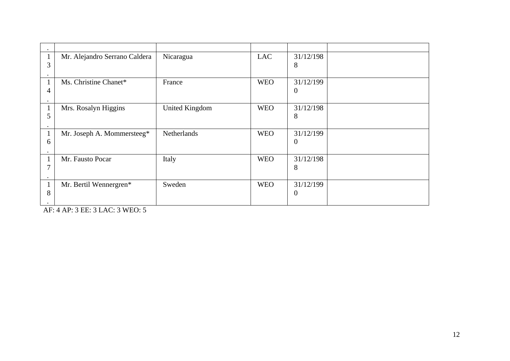|              | Mr. Alejandro Serrano Caldera | Nicaragua             | <b>LAC</b> | 31/12/198      |  |
|--------------|-------------------------------|-----------------------|------------|----------------|--|
| 3            |                               |                       |            | 8              |  |
|              |                               |                       |            |                |  |
| 1            | Ms. Christine Chanet*         | France                | <b>WEO</b> | 31/12/199      |  |
| 4            |                               |                       |            | $\overline{0}$ |  |
|              |                               |                       |            |                |  |
| $\mathbf{1}$ | Mrs. Rosalyn Higgins          | <b>United Kingdom</b> | <b>WEO</b> | 31/12/198      |  |
| 5            |                               |                       |            | 8              |  |
|              |                               |                       |            |                |  |
| 1            | Mr. Joseph A. Mommersteeg*    | Netherlands           | <b>WEO</b> | 31/12/199      |  |
| 6            |                               |                       |            | $\overline{0}$ |  |
|              |                               |                       |            |                |  |
|              |                               |                       |            |                |  |
| $\mathbf 1$  | Mr. Fausto Pocar              | Italy                 | <b>WEO</b> | 31/12/198      |  |
| 7            |                               |                       |            | 8              |  |
| ٠            |                               |                       |            |                |  |
| $\mathbf{1}$ | Mr. Bertil Wennergren*        | Sweden                | <b>WEO</b> | 31/12/199      |  |
| 8            |                               |                       |            | $\Omega$       |  |
| ٠            |                               |                       |            |                |  |

AF: 4 AP: 3 EE: 3 LAC: 3 WEO: 5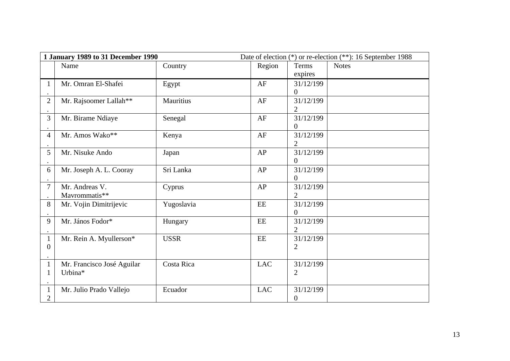| 1 January 1989 to 31 December 1990 |                            |             |               | Date of election (*) or re-election (**): 16 September 1988 |              |  |
|------------------------------------|----------------------------|-------------|---------------|-------------------------------------------------------------|--------------|--|
|                                    | Name                       | Country     | Region        | <b>Terms</b>                                                | <b>Notes</b> |  |
|                                    |                            |             |               | expires                                                     |              |  |
| $\mathbf{1}$                       | Mr. Omran El-Shafei        | Egypt       | AF            | 31/12/199                                                   |              |  |
|                                    |                            |             |               | 0                                                           |              |  |
| $\overline{2}$                     | Mr. Rajsoomer Lallah**     | Mauritius   | AF            | 31/12/199                                                   |              |  |
|                                    |                            |             |               | $\overline{2}$                                              |              |  |
| $\overline{3}$                     | Mr. Birame Ndiaye          | Senegal     | AF            | 31/12/199                                                   |              |  |
|                                    |                            |             |               | $\overline{0}$                                              |              |  |
| $\overline{4}$                     | Mr. Amos Wako**            | Kenya       | AF            | 31/12/199                                                   |              |  |
|                                    |                            |             |               | $\overline{2}$                                              |              |  |
| 5                                  | Mr. Nisuke Ando            | Japan       | AP            | 31/12/199                                                   |              |  |
|                                    |                            |             |               | $\overline{0}$                                              |              |  |
| 6                                  | Mr. Joseph A. L. Cooray    | Sri Lanka   | AP            | 31/12/199                                                   |              |  |
|                                    |                            |             |               | 0                                                           |              |  |
| $\overline{7}$                     | Mr. Andreas V.             | Cyprus      | AP            | 31/12/199                                                   |              |  |
|                                    | Mavrommatis**              |             |               | $\overline{2}$                                              |              |  |
| 8                                  | Mr. Vojin Dimitrijevic     | Yugoslavia  | EE            | 31/12/199                                                   |              |  |
|                                    |                            |             |               | $\boldsymbol{0}$                                            |              |  |
| 9                                  | Mr. János Fodor*           | Hungary     | EE            | 31/12/199                                                   |              |  |
|                                    |                            |             |               | $\overline{2}$                                              |              |  |
| $\mathbf{1}$                       | Mr. Rein A. Myullerson*    | <b>USSR</b> | $\mathbf{EE}$ | 31/12/199                                                   |              |  |
| $\overline{0}$                     |                            |             |               | $\overline{2}$                                              |              |  |
|                                    |                            |             |               |                                                             |              |  |
| $\mathbf{1}$                       | Mr. Francisco José Aguilar | Costa Rica  | <b>LAC</b>    | 31/12/199                                                   |              |  |
| $\mathbf{1}$                       | Urbina*                    |             |               | $\overline{2}$                                              |              |  |
|                                    |                            |             |               |                                                             |              |  |
| $\mathbf{1}$                       | Mr. Julio Prado Vallejo    | Ecuador     | <b>LAC</b>    | 31/12/199                                                   |              |  |
| $\overline{2}$                     |                            |             |               | $\boldsymbol{0}$                                            |              |  |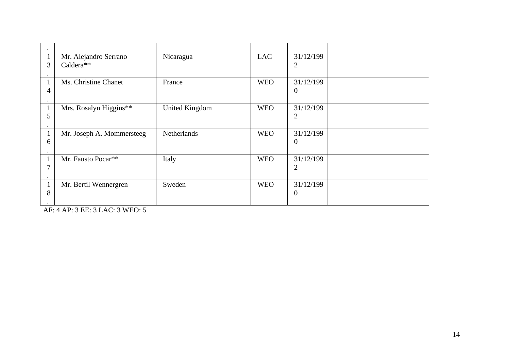|   | Mr. Alejandro Serrano     | Nicaragua             | <b>LAC</b> | 31/12/199      |  |
|---|---------------------------|-----------------------|------------|----------------|--|
| 3 | Caldera**                 |                       |            | $\overline{2}$ |  |
|   |                           |                       |            |                |  |
|   |                           |                       |            |                |  |
|   | Ms. Christine Chanet      | France                | <b>WEO</b> | 31/12/199      |  |
|   |                           |                       |            |                |  |
| 4 |                           |                       |            | $\theta$       |  |
|   |                           |                       |            |                |  |
|   | Mrs. Rosalyn Higgins**    | <b>United Kingdom</b> | <b>WEO</b> | 31/12/199      |  |
|   |                           |                       |            |                |  |
| 5 |                           |                       |            | $\overline{2}$ |  |
|   |                           |                       |            |                |  |
|   | Mr. Joseph A. Mommersteeg | <b>Netherlands</b>    | <b>WEO</b> | 31/12/199      |  |
|   |                           |                       |            |                |  |
| 6 |                           |                       |            | $\overline{0}$ |  |
|   |                           |                       |            |                |  |
|   | Mr. Fausto Pocar**        | Italy                 | <b>WEO</b> | 31/12/199      |  |
| 7 |                           |                       |            |                |  |
|   |                           |                       |            | 2              |  |
|   |                           |                       |            |                |  |
|   | Mr. Bertil Wennergren     | Sweden                | <b>WEO</b> | 31/12/199      |  |
|   |                           |                       |            |                |  |
| 8 |                           |                       |            | $\theta$       |  |
|   |                           |                       |            |                |  |

AF: 4 AP: 3 EE: 3 LAC: 3 WEO: 5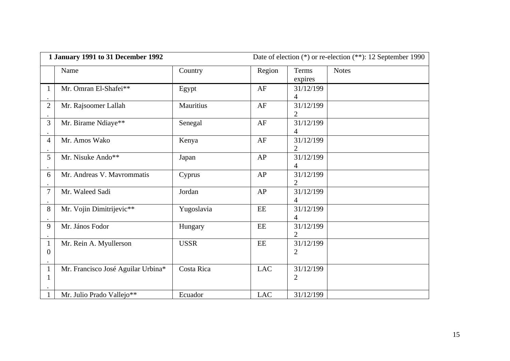| 1 January 1991 to 31 December 1992 |                                    |                  |               | Date of election (*) or re-election (**): 12 September 1990 |              |  |
|------------------------------------|------------------------------------|------------------|---------------|-------------------------------------------------------------|--------------|--|
|                                    | Name                               | Country          | Region        | <b>Terms</b><br>expires                                     | <b>Notes</b> |  |
| 1                                  | Mr. Omran El-Shafei**              | Egypt            | AF            | 31/12/199<br>4                                              |              |  |
| $\overline{2}$                     | Mr. Rajsoomer Lallah               | <b>Mauritius</b> | AF            | 31/12/199<br>2                                              |              |  |
| 3                                  | Mr. Birame Ndiaye**                | Senegal          | AF            | 31/12/199<br>4                                              |              |  |
| 4                                  | Mr. Amos Wako                      | Kenya            | AF            | 31/12/199<br>2                                              |              |  |
| 5                                  | Mr. Nisuke Ando**                  | Japan            | AP            | 31/12/199<br>4                                              |              |  |
| 6                                  | Mr. Andreas V. Mavrommatis         | Cyprus           | AP            | 31/12/199<br>2                                              |              |  |
| 7                                  | Mr. Waleed Sadi                    | Jordan           | AP            | 31/12/199<br>4                                              |              |  |
| 8                                  | Mr. Vojin Dimitrijevic**           | Yugoslavia       | EE            | 31/12/199<br>4                                              |              |  |
| 9                                  | Mr. János Fodor                    | Hungary          | $\mathbf{EE}$ | 31/12/199<br>2                                              |              |  |
| $\mathbf{1}$<br>$\boldsymbol{0}$   | Mr. Rein A. Myullerson             | <b>USSR</b>      | $\rm EE$      | 31/12/199<br>2                                              |              |  |
| $\mathbf{1}$<br>$\mathbf{1}$       | Mr. Francisco José Aguilar Urbina* | Costa Rica       | <b>LAC</b>    | 31/12/199<br>2                                              |              |  |
| $\mathbf{1}$                       | Mr. Julio Prado Vallejo**          | Ecuador          | <b>LAC</b>    | 31/12/199                                                   |              |  |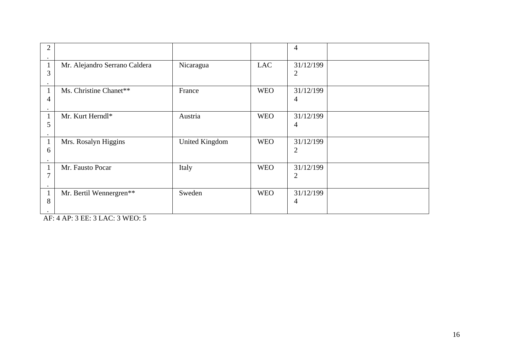|                |                               |                       |            | $\overline{4}$ |  |
|----------------|-------------------------------|-----------------------|------------|----------------|--|
| 3              | Mr. Alejandro Serrano Caldera | Nicaragua             | <b>LAC</b> | 31/12/199<br>2 |  |
| 4              | Ms. Christine Chanet**        | France                | <b>WEO</b> | 31/12/199<br>4 |  |
| 5              | Mr. Kurt Herndl*              | Austria               | <b>WEO</b> | 31/12/199<br>4 |  |
| 6              | Mrs. Rosalyn Higgins          | <b>United Kingdom</b> | <b>WEO</b> | 31/12/199<br>2 |  |
| 7              | Mr. Fausto Pocar              | Italy                 | <b>WEO</b> | 31/12/199<br>2 |  |
| 8<br>$\bullet$ | Mr. Bertil Wennergren**       | Sweden                | <b>WEO</b> | 31/12/199<br>4 |  |

AF: 4 AP: 3 EE: 3 LAC: 3 WEO: 5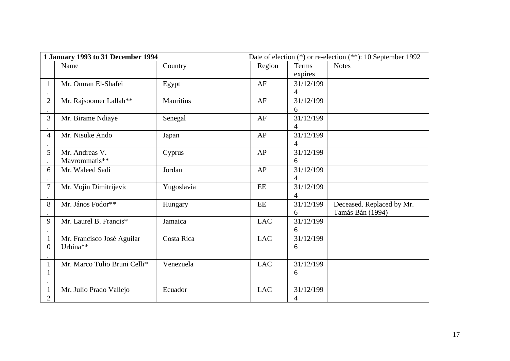| 1 January 1993 to 31 December 1994 |                              |                  | Date of election (*) or re-election (**): 10 September 1992 |              |                           |
|------------------------------------|------------------------------|------------------|-------------------------------------------------------------|--------------|---------------------------|
|                                    | Name                         | Country          | Region                                                      | <b>Terms</b> | <b>Notes</b>              |
|                                    |                              |                  |                                                             | expires      |                           |
| $\mathbf{1}$                       | Mr. Omran El-Shafei          | Egypt            | AF                                                          | 31/12/199    |                           |
|                                    |                              |                  |                                                             | 4            |                           |
| $\overline{2}$                     | Mr. Rajsoomer Lallah**       | <b>Mauritius</b> | AF                                                          | 31/12/199    |                           |
|                                    |                              |                  |                                                             | 6            |                           |
| $\overline{3}$                     | Mr. Birame Ndiaye            | Senegal          | AF                                                          | 31/12/199    |                           |
|                                    |                              |                  |                                                             | 4            |                           |
| $\overline{4}$                     | Mr. Nisuke Ando              | Japan            | ${\sf AP}$                                                  | 31/12/199    |                           |
|                                    |                              |                  |                                                             | 4            |                           |
| 5                                  | Mr. Andreas V.               | Cyprus           | AP                                                          | 31/12/199    |                           |
|                                    | Mavrommatis**                |                  |                                                             | 6            |                           |
| 6                                  | Mr. Waleed Sadi              | Jordan           | ${\sf AP}$                                                  | 31/12/199    |                           |
|                                    |                              |                  |                                                             | 4            |                           |
| $\overline{7}$                     | Mr. Vojin Dimitrijevic       | Yugoslavia       | EE                                                          | 31/12/199    |                           |
|                                    |                              |                  |                                                             | 4            |                           |
| 8                                  | Mr. János Fodor**            | Hungary          | EE                                                          | 31/12/199    | Deceased. Replaced by Mr. |
|                                    |                              |                  |                                                             | 6            | Tamás Bán (1994)          |
| 9                                  | Mr. Laurel B. Francis*       | Jamaica          | <b>LAC</b>                                                  | 31/12/199    |                           |
|                                    |                              |                  |                                                             | 6            |                           |
| $\mathbf{1}$                       | Mr. Francisco José Aguilar   | Costa Rica       | <b>LAC</b>                                                  | 31/12/199    |                           |
| $\boldsymbol{0}$                   | Urbina**                     |                  |                                                             | 6            |                           |
|                                    |                              |                  |                                                             |              |                           |
| $\mathbf{1}$                       | Mr. Marco Tulio Bruni Celli* | Venezuela        | <b>LAC</b>                                                  | 31/12/199    |                           |
| 1                                  |                              |                  |                                                             | 6            |                           |
|                                    |                              |                  |                                                             |              |                           |
| $\mathbf{1}$                       | Mr. Julio Prado Vallejo      | Ecuador          | <b>LAC</b>                                                  | 31/12/199    |                           |
| $\overline{2}$                     |                              |                  |                                                             | 4            |                           |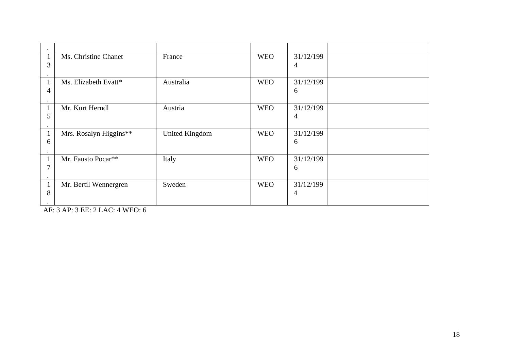|   | Ms. Christine Chanet   | France                | <b>WEO</b> | 31/12/199 |  |
|---|------------------------|-----------------------|------------|-----------|--|
| 3 |                        |                       |            | 4         |  |
|   |                        |                       |            |           |  |
|   | Ms. Elizabeth Evatt*   | Australia             | <b>WEO</b> | 31/12/199 |  |
|   |                        |                       |            |           |  |
| 4 |                        |                       |            | 6         |  |
|   |                        |                       |            |           |  |
|   | Mr. Kurt Herndl        | Austria               | <b>WEO</b> | 31/12/199 |  |
| 5 |                        |                       |            | 4         |  |
|   |                        |                       |            |           |  |
|   | Mrs. Rosalyn Higgins** | <b>United Kingdom</b> | <b>WEO</b> | 31/12/199 |  |
| 6 |                        |                       |            | 6         |  |
|   |                        |                       |            |           |  |
|   | Mr. Fausto Pocar**     | Italy                 | <b>WEO</b> | 31/12/199 |  |
|   |                        |                       |            |           |  |
| 7 |                        |                       |            | 6         |  |
|   |                        |                       |            |           |  |
|   | Mr. Bertil Wennergren  | Sweden                | <b>WEO</b> | 31/12/199 |  |
| 8 |                        |                       |            | 4         |  |
|   |                        |                       |            |           |  |

AF: 3 AP: 3 EE: 2 LAC: 4 WEO: 6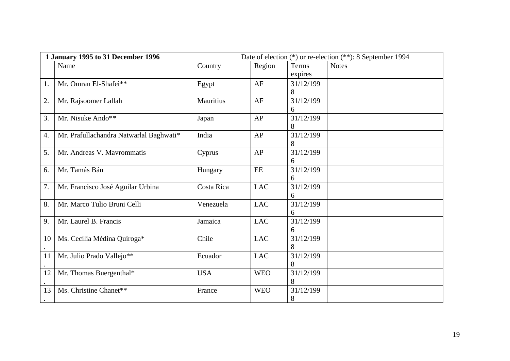|    | 1 January 1995 to 31 December 1996      |                  |               |                         | Date of election (*) or re-election (**): 8 September 1994 |
|----|-----------------------------------------|------------------|---------------|-------------------------|------------------------------------------------------------|
|    | Name                                    | Country          | Region        | <b>Terms</b><br>expires | <b>Notes</b>                                               |
| 1. | Mr. Omran El-Shafei**                   | Egypt            | AF            | 31/12/199<br>8          |                                                            |
| 2. | Mr. Rajsoomer Lallah                    | <b>Mauritius</b> | AF            | 31/12/199<br>6          |                                                            |
| 3. | Mr. Nisuke Ando**                       | Japan            | AP            | 31/12/199<br>8          |                                                            |
| 4. | Mr. Prafullachandra Natwarlal Baghwati* | India            | AP            | 31/12/199<br>8          |                                                            |
| 5. | Mr. Andreas V. Mavrommatis              | Cyprus           | AP            | 31/12/199<br>6          |                                                            |
| 6. | Mr. Tamás Bán                           | Hungary          | $\mathbf{EE}$ | 31/12/199<br>6          |                                                            |
| 7. | Mr. Francisco José Aguilar Urbina       | Costa Rica       | <b>LAC</b>    | 31/12/199<br>6          |                                                            |
| 8. | Mr. Marco Tulio Bruni Celli             | Venezuela        | <b>LAC</b>    | 31/12/199<br>6          |                                                            |
| 9. | Mr. Laurel B. Francis                   | Jamaica          | <b>LAC</b>    | 31/12/199<br>6          |                                                            |
| 10 | Ms. Cecilia Médina Quiroga*             | Chile            | <b>LAC</b>    | 31/12/199<br>8          |                                                            |
| 11 | Mr. Julio Prado Vallejo**               | Ecuador          | <b>LAC</b>    | 31/12/199<br>8          |                                                            |
| 12 | Mr. Thomas Buergenthal*                 | <b>USA</b>       | <b>WEO</b>    | 31/12/199<br>8          |                                                            |
| 13 | Ms. Christine Chanet**                  | France           | <b>WEO</b>    | 31/12/199<br>8          |                                                            |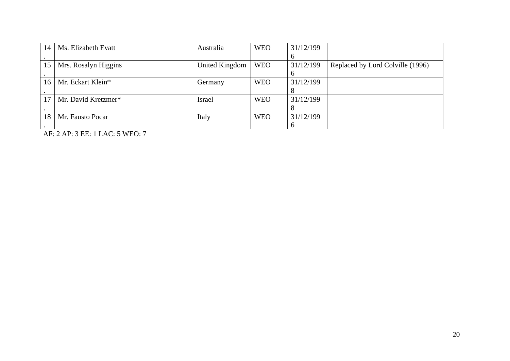| 14 | Ms. Elizabeth Evatt  | Australia      | <b>WEO</b> | 31/12/199 |                                  |
|----|----------------------|----------------|------------|-----------|----------------------------------|
|    |                      |                |            |           |                                  |
| 15 | Mrs. Rosalyn Higgins | United Kingdom | <b>WEO</b> | 31/12/199 | Replaced by Lord Colville (1996) |
|    |                      |                |            |           |                                  |
| 16 | Mr. Eckart Klein*    | Germany        | <b>WEO</b> | 31/12/199 |                                  |
|    |                      |                |            |           |                                  |
| 17 | Mr. David Kretzmer*  | <b>Israel</b>  | <b>WEO</b> | 31/12/199 |                                  |
|    |                      |                |            |           |                                  |
| 18 | Mr. Fausto Pocar     | Italy          | <b>WEO</b> | 31/12/199 |                                  |
|    |                      |                |            |           |                                  |

AF: 2 AP: 3 EE: 1 LAC: 5 WEO: 7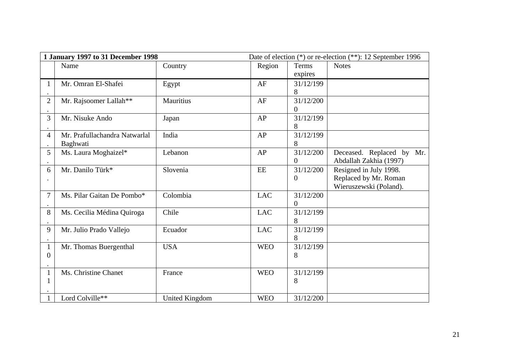| 1 January 1997 to 31 December 1998 |                               |                       | Date of election (*) or re-election (**): 12 September 1996 |                  |                           |
|------------------------------------|-------------------------------|-----------------------|-------------------------------------------------------------|------------------|---------------------------|
|                                    | Name                          | Country               | Region                                                      | Terms            | <b>Notes</b>              |
|                                    |                               |                       |                                                             | expires          |                           |
| $\mathbf{1}$                       | Mr. Omran El-Shafei           | Egypt                 | AF                                                          | 31/12/199        |                           |
|                                    |                               |                       |                                                             | 8                |                           |
| $\overline{2}$                     | Mr. Rajsoomer Lallah**        | <b>Mauritius</b>      | AF                                                          | 31/12/200        |                           |
|                                    |                               |                       |                                                             | 0                |                           |
| 3                                  | Mr. Nisuke Ando               | Japan                 | AP                                                          | 31/12/199        |                           |
|                                    |                               |                       |                                                             | 8                |                           |
| $\overline{4}$                     | Mr. Prafullachandra Natwarlal | India                 | AP                                                          | 31/12/199        |                           |
|                                    | Baghwati                      |                       |                                                             | 8                |                           |
| 5                                  | Ms. Laura Moghaizel*          | Lebanon               | AP                                                          | 31/12/200        | Deceased. Replaced by Mr. |
|                                    |                               |                       |                                                             | $\overline{0}$   | Abdallah Zakhia (1997)    |
| 6                                  | Mr. Danilo Türk*              | Slovenia              | EE                                                          | 31/12/200        | Resigned in July 1998.    |
|                                    |                               |                       |                                                             | $\boldsymbol{0}$ | Replaced by Mr. Roman     |
|                                    |                               |                       |                                                             |                  | Wieruszewski (Poland).    |
| 7                                  | Ms. Pilar Gaitan De Pombo*    | Colombia              | <b>LAC</b>                                                  | 31/12/200        |                           |
|                                    |                               |                       |                                                             | 0                |                           |
| 8                                  | Ms. Cecilia Médina Quiroga    | Chile                 | <b>LAC</b>                                                  | 31/12/199        |                           |
|                                    |                               |                       |                                                             | 8                |                           |
| 9                                  | Mr. Julio Prado Vallejo       | Ecuador               | <b>LAC</b>                                                  | 31/12/199        |                           |
|                                    |                               |                       |                                                             | 8                |                           |
| $\mathbf{1}$                       | Mr. Thomas Buergenthal        | <b>USA</b>            | <b>WEO</b>                                                  | 31/12/199        |                           |
| $\overline{0}$                     |                               |                       |                                                             | 8                |                           |
|                                    |                               |                       |                                                             |                  |                           |
| $\mathbf{1}$                       | Ms. Christine Chanet          | France                | <b>WEO</b>                                                  | 31/12/199        |                           |
| $\mathbf{1}$                       |                               |                       |                                                             | 8                |                           |
|                                    |                               |                       |                                                             |                  |                           |
| 1                                  | Lord Colville**               | <b>United Kingdom</b> | <b>WEO</b>                                                  | 31/12/200        |                           |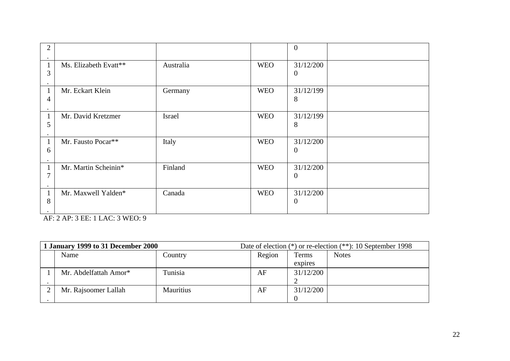| 2                              |                       |           |            | $\mathbf{0}$                  |  |
|--------------------------------|-----------------------|-----------|------------|-------------------------------|--|
| $\mathbf{1}$<br>3<br>٠         | Ms. Elizabeth Evatt** | Australia | <b>WEO</b> | 31/12/200<br>$\overline{0}$   |  |
| $\mathbf{1}$<br>4              | Mr. Eckart Klein      | Germany   | <b>WEO</b> | 31/12/199<br>8                |  |
| $\mathbf 1$<br>5               | Mr. David Kretzmer    | Israel    | <b>WEO</b> | 31/12/199<br>8                |  |
| $\mathbf{1}$<br>6              | Mr. Fausto Pocar**    | Italy     | <b>WEO</b> | 31/12/200<br>$\Omega$         |  |
| $\mathbf{1}$<br>7              | Mr. Martin Scheinin*  | Finland   | <b>WEO</b> | 31/12/200<br>$\overline{0}$   |  |
| $\mathbf{1}$<br>8<br>$\bullet$ | Mr. Maxwell Yalden*   | Canada    | <b>WEO</b> | 31/12/200<br>$\boldsymbol{0}$ |  |

AF: 2 AP: 3 EE: 1 LAC: 3 WEO: 9

| 1 January 1999 to 31 December 2000 |                       |                  | Date of election $(*)$ or re-election $(**)$ : 10 September 1998 |           |              |
|------------------------------------|-----------------------|------------------|------------------------------------------------------------------|-----------|--------------|
|                                    | Name                  | Country          | Region                                                           | Terms     | <b>Notes</b> |
|                                    |                       |                  |                                                                  | expires   |              |
|                                    | Mr. Abdelfattah Amor* | Tunisia          | AF                                                               | 31/12/200 |              |
|                                    |                       |                  |                                                                  |           |              |
|                                    | Mr. Rajsoomer Lallah  | <b>Mauritius</b> | AF                                                               | 31/12/200 |              |
|                                    |                       |                  |                                                                  |           |              |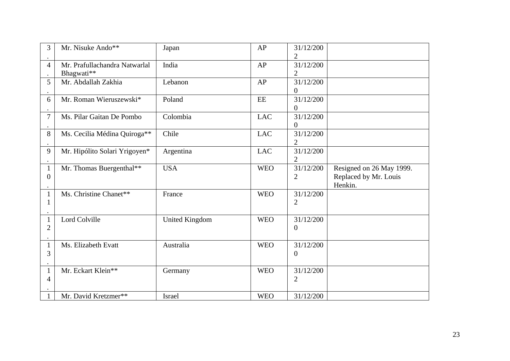| 3                              | Mr. Nisuke Ando**                           | Japan                 | AP         | 31/12/200<br>2                |                                                              |
|--------------------------------|---------------------------------------------|-----------------------|------------|-------------------------------|--------------------------------------------------------------|
| 4                              | Mr. Prafullachandra Natwarlal<br>Bhagwati** | India                 | AP         | 31/12/200<br>2                |                                                              |
| 5                              | Mr. Abdallah Zakhia                         | Lebanon               | AP         | 31/12/200<br>0                |                                                              |
| 6                              | Mr. Roman Wieruszewski*                     | Poland                | EE         | 31/12/200<br>$\overline{0}$   |                                                              |
| $\overline{7}$                 | Ms. Pilar Gaitan De Pombo                   | Colombia              | <b>LAC</b> | 31/12/200<br>$\boldsymbol{0}$ |                                                              |
| 8                              | Ms. Cecilia Médina Quiroga**                | Chile                 | <b>LAC</b> | 31/12/200<br>2                |                                                              |
| 9                              | Mr. Hipólito Solari Yrigoyen*               | Argentina             | <b>LAC</b> | 31/12/200<br>$\overline{2}$   |                                                              |
| $\mathbf{1}$<br>$\overline{0}$ | Mr. Thomas Buergenthal**                    | <b>USA</b>            | <b>WEO</b> | 31/12/200<br>2                | Resigned on 26 May 1999.<br>Replaced by Mr. Louis<br>Henkin. |
| $\mathbf{1}$<br>$\mathbf 1$    | Ms. Christine Chanet**                      | France                | <b>WEO</b> | 31/12/200<br>2                |                                                              |
| $\mathbf{1}$<br>$\overline{2}$ | <b>Lord Colville</b>                        | <b>United Kingdom</b> | <b>WEO</b> | 31/12/200<br>$\boldsymbol{0}$ |                                                              |
| $\mathbf{1}$<br>3              | Ms. Elizabeth Evatt                         | Australia             | <b>WEO</b> | 31/12/200<br>$\boldsymbol{0}$ |                                                              |
| $\mathbf{1}$<br>4              | Mr. Eckart Klein**                          | Germany               | <b>WEO</b> | 31/12/200<br>2                |                                                              |
| $\mathbf{1}$                   | Mr. David Kretzmer**                        | Israel                | <b>WEO</b> | 31/12/200                     |                                                              |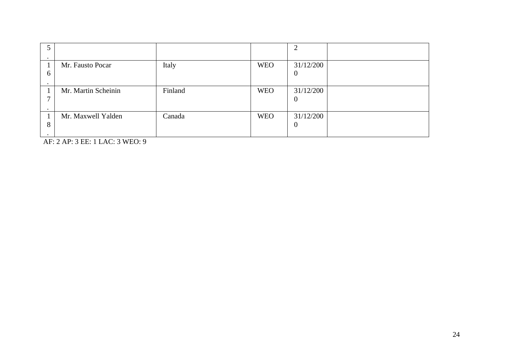| C |                     |         |            |           |  |
|---|---------------------|---------|------------|-----------|--|
|   |                     |         |            |           |  |
|   | Mr. Fausto Pocar    | Italy   | <b>WEO</b> | 31/12/200 |  |
| 6 |                     |         |            | $\bf{0}$  |  |
|   |                     |         |            |           |  |
|   | Mr. Martin Scheinin | Finland | <b>WEO</b> | 31/12/200 |  |
|   |                     |         |            | $\bf{0}$  |  |
|   |                     |         |            |           |  |
|   | Mr. Maxwell Yalden  | Canada  | <b>WEO</b> | 31/12/200 |  |
| 8 |                     |         |            | $\theta$  |  |
|   |                     |         |            |           |  |

AF: 2 AP: 3 EE: 1 LAC: 3 WEO: 9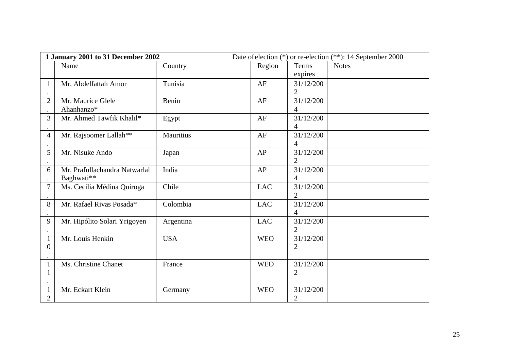|                                | 1 January 2001 to 31 December 2002          |                  | Date of election (*) or re-election (**): 14 September 2000 |                             |              |
|--------------------------------|---------------------------------------------|------------------|-------------------------------------------------------------|-----------------------------|--------------|
|                                | Name                                        | Country          | Region                                                      | <b>Terms</b><br>expires     | <b>Notes</b> |
| $\mathbf{1}$                   | Mr. Abdelfattah Amor                        | Tunisia          | AF                                                          | 31/12/200<br>2              |              |
| $\overline{2}$                 | Mr. Maurice Glele<br>Ahanhanzo*             | Benin            | AF                                                          | 31/12/200<br>4              |              |
| 3                              | Mr. Ahmed Tawfik Khalil*                    | Egypt            | AF                                                          | 31/12/200<br>4              |              |
| 4                              | Mr. Rajsoomer Lallah**                      | <b>Mauritius</b> | AF                                                          | 31/12/200<br>4              |              |
| 5                              | Mr. Nisuke Ando                             | Japan            | AP                                                          | 31/12/200<br>$\overline{2}$ |              |
| 6                              | Mr. Prafullachandra Natwarlal<br>Baghwati** | India            | AP                                                          | 31/12/200<br>4              |              |
| 7                              | Ms. Cecilia Médina Quiroga                  | Chile            | <b>LAC</b>                                                  | 31/12/200<br>$\overline{2}$ |              |
| 8                              | Mr. Rafael Rivas Posada*                    | Colombia         | <b>LAC</b>                                                  | 31/12/200<br>4              |              |
| 9                              | Mr. Hipólito Solari Yrigoyen                | Argentina        | <b>LAC</b>                                                  | 31/12/200<br>2              |              |
| $\mathbf{1}$<br>$\overline{0}$ | Mr. Louis Henkin                            | <b>USA</b>       | <b>WEO</b>                                                  | 31/12/200<br>2              |              |
| $\mathbf{1}$<br>$\mathbf{1}$   | Ms. Christine Chanet                        | France           | <b>WEO</b>                                                  | 31/12/200<br>$\overline{2}$ |              |
| $\mathbf{1}$<br>2              | Mr. Eckart Klein                            | Germany          | <b>WEO</b>                                                  | 31/12/200<br>$\overline{2}$ |              |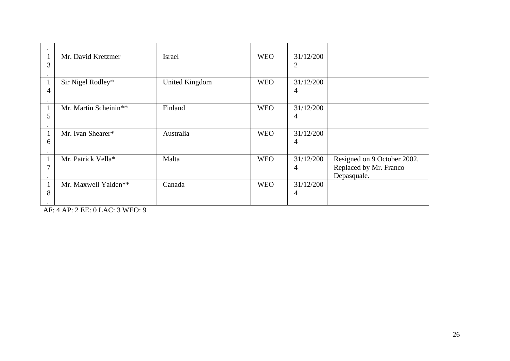|   | Mr. David Kretzmer    | <b>Israel</b>         | <b>WEO</b> | 31/12/200 |                             |
|---|-----------------------|-----------------------|------------|-----------|-----------------------------|
| 3 |                       |                       |            | 2         |                             |
|   |                       |                       |            |           |                             |
|   | Sir Nigel Rodley*     | <b>United Kingdom</b> | <b>WEO</b> | 31/12/200 |                             |
| 4 |                       |                       |            | 4         |                             |
|   |                       |                       |            |           |                             |
|   | Mr. Martin Scheinin** | Finland               | <b>WEO</b> | 31/12/200 |                             |
| 5 |                       |                       |            | 4         |                             |
|   |                       |                       |            |           |                             |
|   | Mr. Ivan Shearer*     | Australia             | <b>WEO</b> | 31/12/200 |                             |
| 6 |                       |                       |            | 4         |                             |
|   |                       |                       |            |           |                             |
|   | Mr. Patrick Vella*    | Malta                 | <b>WEO</b> | 31/12/200 | Resigned on 9 October 2002. |
|   |                       |                       |            | 4         | Replaced by Mr. Franco      |
|   |                       |                       |            |           | Depasquale.                 |
|   | Mr. Maxwell Yalden**  | Canada                | <b>WEO</b> | 31/12/200 |                             |
| 8 |                       |                       |            | 4         |                             |
|   |                       |                       |            |           |                             |

AF: 4 AP: 2 EE: 0 LAC: 3 WEO: 9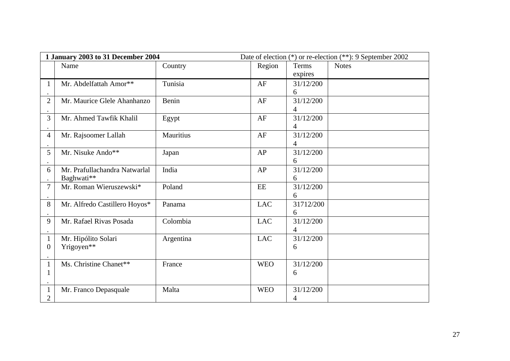|                  | 1 January 2003 to 31 December 2004 |                  | Date of election (*) or re-election (**): 9 September 2002 |              |              |
|------------------|------------------------------------|------------------|------------------------------------------------------------|--------------|--------------|
|                  | Name                               | Country          | Region                                                     | <b>Terms</b> | <b>Notes</b> |
|                  |                                    |                  |                                                            | expires      |              |
| $\mathbf{1}$     | Mr. Abdelfattah Amor**             | Tunisia          | AF                                                         | 31/12/200    |              |
|                  |                                    |                  |                                                            | 6            |              |
| $\overline{2}$   | Mr. Maurice Glele Ahanhanzo        | Benin            | AF                                                         | 31/12/200    |              |
|                  |                                    |                  |                                                            | 4            |              |
| 3                | Mr. Ahmed Tawfik Khalil            | Egypt            | AF                                                         | 31/12/200    |              |
|                  |                                    |                  |                                                            | 4            |              |
| $\overline{4}$   | Mr. Rajsoomer Lallah               | <b>Mauritius</b> | AF                                                         | 31/12/200    |              |
|                  |                                    |                  |                                                            | 4            |              |
| 5                | Mr. Nisuke Ando**                  | Japan            | AP                                                         | 31/12/200    |              |
|                  |                                    |                  |                                                            | 6            |              |
| 6                | Mr. Prafullachandra Natwarlal      | India            | AP                                                         | 31/12/200    |              |
|                  | Baghwati**                         |                  |                                                            | 6            |              |
| $\overline{7}$   | Mr. Roman Wieruszewski*            | Poland           | EE                                                         | 31/12/200    |              |
|                  |                                    |                  |                                                            | 6            |              |
| 8                | Mr. Alfredo Castillero Hoyos*      | Panama           | <b>LAC</b>                                                 | 31712/200    |              |
|                  |                                    |                  |                                                            | 6            |              |
| 9                | Mr. Rafael Rivas Posada            | Colombia         | <b>LAC</b>                                                 | 31/12/200    |              |
|                  |                                    |                  |                                                            | 4            |              |
| $\mathbf{1}$     | Mr. Hipólito Solari                | Argentina        | <b>LAC</b>                                                 | 31/12/200    |              |
| $\boldsymbol{0}$ | Yrigoyen**                         |                  |                                                            | 6            |              |
|                  |                                    |                  |                                                            |              |              |
| $\mathbf{1}$     | Ms. Christine Chanet**             | France           | <b>WEO</b>                                                 | 31/12/200    |              |
| $\mathbf{1}$     |                                    |                  |                                                            | 6            |              |
|                  |                                    |                  |                                                            |              |              |
| $\mathbf{1}$     | Mr. Franco Depasquale              | Malta            | <b>WEO</b>                                                 | 31/12/200    |              |
| $\overline{2}$   |                                    |                  |                                                            | 4            |              |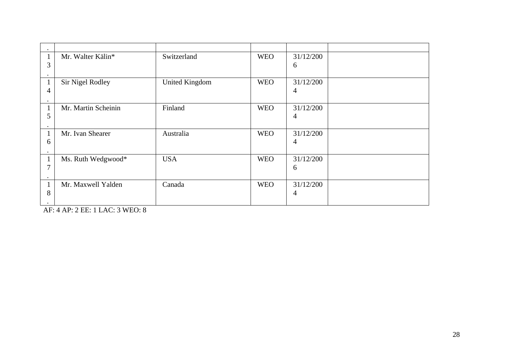| 3 | Mr. Walter Kälin*       | Switzerland           | <b>WEO</b> | 31/12/200<br>6 |  |
|---|-------------------------|-----------------------|------------|----------------|--|
| 4 | <b>Sir Nigel Rodley</b> | <b>United Kingdom</b> | <b>WEO</b> | 31/12/200<br>4 |  |
| 5 | Mr. Martin Scheinin     | Finland               | <b>WEO</b> | 31/12/200<br>4 |  |
| 6 | Mr. Ivan Shearer        | Australia             | <b>WEO</b> | 31/12/200<br>4 |  |
| 7 | Ms. Ruth Wedgwood*      | <b>USA</b>            | <b>WEO</b> | 31/12/200<br>6 |  |
| 8 | Mr. Maxwell Yalden      | Canada                | <b>WEO</b> | 31/12/200<br>4 |  |

AF: 4 AP: 2 EE: 1 LAC: 3 WEO: 8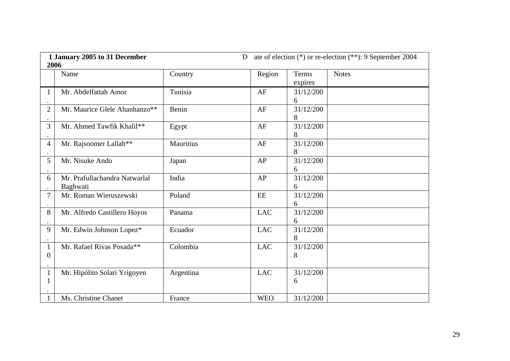|                                | 1 January 2005 to 31 December<br>D<br>2006 |                  |               |                  | ate of election (*) or re-election (**): 9 September 2004 |
|--------------------------------|--------------------------------------------|------------------|---------------|------------------|-----------------------------------------------------------|
|                                | Name                                       | Country          | Region        | Terms<br>expires | <b>Notes</b>                                              |
| $\mathbf 1$                    | Mr. Abdelfattah Amor                       | Tunisia          | AF            | 31/12/200<br>6   |                                                           |
| $\overline{2}$                 | Mr. Maurice Glele Ahanhanzo**              | <b>Benin</b>     | AF            | 31/12/200<br>8   |                                                           |
| 3                              | Mr. Ahmed Tawfik Khalil**                  | Egypt            | AF            | 31/12/200<br>8   |                                                           |
| $\overline{4}$                 | Mr. Rajsoomer Lallah**                     | <b>Mauritius</b> | AF            | 31/12/200<br>8   |                                                           |
| 5                              | Mr. Nisuke Ando                            | Japan            | AP            | 31/12/200<br>6   |                                                           |
| 6                              | Mr. Prafullachandra Natwarlal<br>Baghwati  | India            | AP            | 31/12/200<br>6   |                                                           |
| 7                              | Mr. Roman Wieruszewski                     | Poland           | $\mathbf{EE}$ | 31/12/200<br>6   |                                                           |
| 8                              | Mr. Alfredo Castillero Hoyos               | Panama           | <b>LAC</b>    | 31/12/200<br>6   |                                                           |
| 9                              | Mr. Edwin Johnson Lopez*                   | Ecuador          | <b>LAC</b>    | 31/12/200<br>8   |                                                           |
| $\mathbf{1}$<br>$\overline{0}$ | Mr. Rafael Rivas Posada**                  | Colombia         | <b>LAC</b>    | 31/12/200<br>8   |                                                           |
| $\mathbf{1}$<br>$\mathbf{1}$   | Mr. Hipólito Solari Yrigoyen               | Argentina        | <b>LAC</b>    | 31/12/200<br>6   |                                                           |
| $\mathbf{1}$                   | Ms. Christine Chanet                       | France           | <b>WEO</b>    | 31/12/200        |                                                           |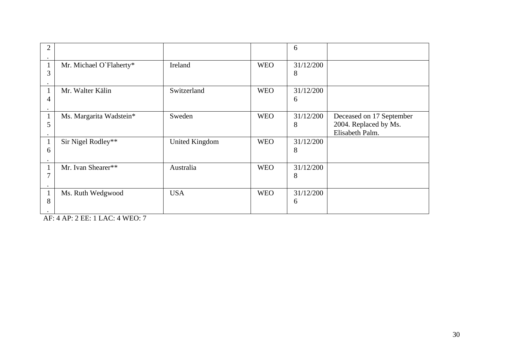|   |                         |                       |            | 6              |                                                                      |
|---|-------------------------|-----------------------|------------|----------------|----------------------------------------------------------------------|
| 3 | Mr. Michael O'Flaherty* | Ireland               | <b>WEO</b> | 31/12/200<br>8 |                                                                      |
| 4 | Mr. Walter Kälin        | Switzerland           | <b>WEO</b> | 31/12/200<br>6 |                                                                      |
| 5 | Ms. Margarita Wadstein* | Sweden                | <b>WEO</b> | 31/12/200<br>8 | Deceased on 17 September<br>2004. Replaced by Ms.<br>Elisabeth Palm. |
| 6 | Sir Nigel Rodley**      | <b>United Kingdom</b> | <b>WEO</b> | 31/12/200<br>8 |                                                                      |
| 7 | Mr. Ivan Shearer**      | Australia             | <b>WEO</b> | 31/12/200<br>8 |                                                                      |
| 8 | Ms. Ruth Wedgwood       | <b>USA</b>            | <b>WEO</b> | 31/12/200<br>6 |                                                                      |

AF: 4 AP: 2 EE: 1 LAC: 4 WEO: 7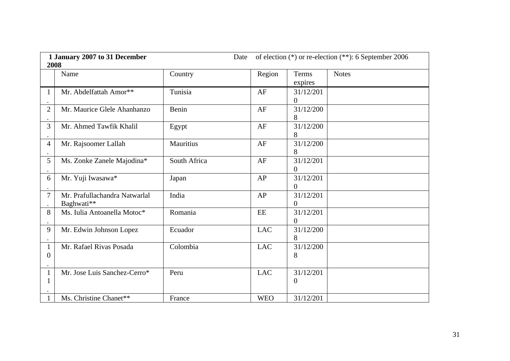| 1 January 2007 to 31 December<br>Date<br>2008 |                                             |                  |            |                             | of election (*) or re-election (**): 6 September 2006 |
|-----------------------------------------------|---------------------------------------------|------------------|------------|-----------------------------|-------------------------------------------------------|
|                                               | Name                                        | Country          | Region     | <b>Terms</b><br>expires     | <b>Notes</b>                                          |
| 1                                             | Mr. Abdelfattah Amor**                      | Tunisia          | AF         | 31/12/201<br>$\overline{0}$ |                                                       |
| $\overline{2}$                                | Mr. Maurice Glele Ahanhanzo                 | <b>Benin</b>     | AF         | 31/12/200<br>8              |                                                       |
| 3                                             | Mr. Ahmed Tawfik Khalil                     | Egypt            | AF         | 31/12/200<br>8              |                                                       |
| $\overline{4}$                                | Mr. Rajsoomer Lallah                        | <b>Mauritius</b> | AF         | 31/12/200<br>8              |                                                       |
| 5                                             | Ms. Zonke Zanele Majodina*                  | South Africa     | AF         | 31/12/201<br>0              |                                                       |
| 6                                             | Mr. Yuji Iwasawa*                           | Japan            | AP         | 31/12/201<br>$\overline{0}$ |                                                       |
| 7                                             | Mr. Prafullachandra Natwarlal<br>Baghwati** | India            | AP         | 31/12/201<br>$\overline{0}$ |                                                       |
| 8                                             | Ms. Iulia Antoanella Motoc*                 | Romania          | EE         | 31/12/201<br>$\overline{0}$ |                                                       |
| 9                                             | Mr. Edwin Johnson Lopez                     | Ecuador          | <b>LAC</b> | 31/12/200<br>8              |                                                       |
| $\mathbf{1}$<br>0                             | Mr. Rafael Rivas Posada                     | Colombia         | <b>LAC</b> | 31/12/200<br>8              |                                                       |
| $\mathbf{1}$<br>1                             | Mr. Jose Luis Sanchez-Cerro*                | Peru             | <b>LAC</b> | 31/12/201<br>0              |                                                       |
| $\mathbf{1}$                                  | Ms. Christine Chanet**                      | France           | <b>WEO</b> | 31/12/201                   |                                                       |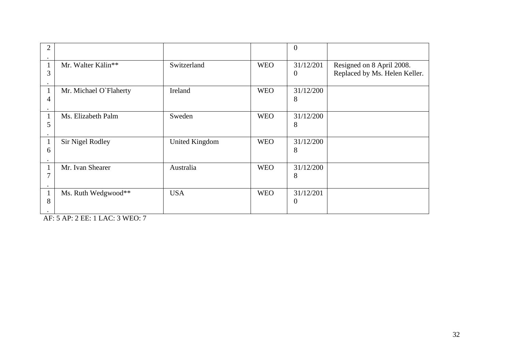| 2                     |                         |                       |            | $\boldsymbol{0}$              |                                                            |
|-----------------------|-------------------------|-----------------------|------------|-------------------------------|------------------------------------------------------------|
| $\mathbf 1$<br>3      | Mr. Walter Kälin**      | Switzerland           | <b>WEO</b> | 31/12/201<br>$\overline{0}$   | Resigned on 8 April 2008.<br>Replaced by Ms. Helen Keller. |
| $\mathbf 1$<br>4      | Mr. Michael O'Flaherty  | Ireland               | <b>WEO</b> | 31/12/200<br>8                |                                                            |
| 1<br>5                | Ms. Elizabeth Palm      | Sweden                | <b>WEO</b> | 31/12/200<br>8                |                                                            |
| 1<br>6                | <b>Sir Nigel Rodley</b> | <b>United Kingdom</b> | <b>WEO</b> | 31/12/200<br>8                |                                                            |
| $\mathbf{1}$<br>7     | Mr. Ivan Shearer        | Australia             | <b>WEO</b> | 31/12/200<br>8                |                                                            |
| $\mathbf 1$<br>8<br>٠ | Ms. Ruth Wedgwood**     | <b>USA</b>            | <b>WEO</b> | 31/12/201<br>$\boldsymbol{0}$ |                                                            |

AF: 5 AP: 2 EE: 1 LAC: 3 WEO: 7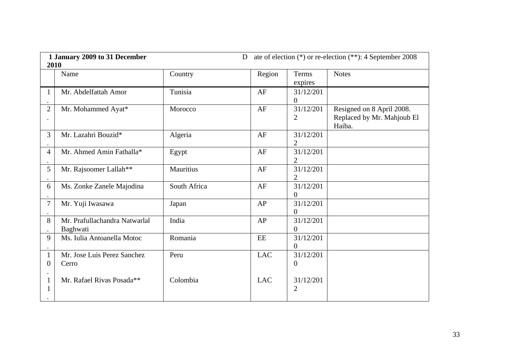| 1 January 2009 to 31 December<br>2010 |                                           |                  | D          |                               | ate of election (*) or re-election (**): 4 September 2008         |
|---------------------------------------|-------------------------------------------|------------------|------------|-------------------------------|-------------------------------------------------------------------|
|                                       | Name                                      | Country          | Region     | <b>Terms</b><br>expires       | <b>Notes</b>                                                      |
| $\mathbf{1}$                          | Mr. Abdelfattah Amor                      | Tunisia          | AF         | 31/12/201<br>$\overline{0}$   |                                                                   |
| $\overline{2}$                        | Mr. Mohammed Ayat*                        | Morocco          | AF         | 31/12/201<br>2                | Resigned on 8 April 2008.<br>Replaced by Mr. Mahjoub El<br>Haiba. |
| 3                                     | Mr. Lazahri Bouzid*                       | Algeria          | AF         | 31/12/201<br>2                |                                                                   |
| 4                                     | Mr. Ahmed Amin Fathalla*                  | Egypt            | AF         | 31/12/201<br>$\overline{2}$   |                                                                   |
| 5                                     | Mr. Rajsoomer Lallah**                    | <b>Mauritius</b> | AF         | 31/12/201<br>2                |                                                                   |
| 6                                     | Ms. Zonke Zanele Majodina                 | South Africa     | AF         | 31/12/201<br>$\overline{0}$   |                                                                   |
| 7                                     | Mr. Yuji Iwasawa                          | Japan            | AP         | 31/12/201<br>$\boldsymbol{0}$ |                                                                   |
| 8                                     | Mr. Prafullachandra Natwarlal<br>Baghwati | India            | AP         | 31/12/201<br>$\overline{0}$   |                                                                   |
| 9                                     | Ms. Iulia Antoanella Motoc                | Romania          | EE         | 31/12/201<br>$\boldsymbol{0}$ |                                                                   |
| $\mathbf{1}$<br>$\boldsymbol{0}$      | Mr. Jose Luis Perez Sanchez<br>Cerro      | Peru             | <b>LAC</b> | 31/12/201<br>0                |                                                                   |
| $\mathbf 1$<br>$\mathbf{1}$           | Mr. Rafael Rivas Posada**                 | Colombia         | <b>LAC</b> | 31/12/201<br>$\overline{2}$   |                                                                   |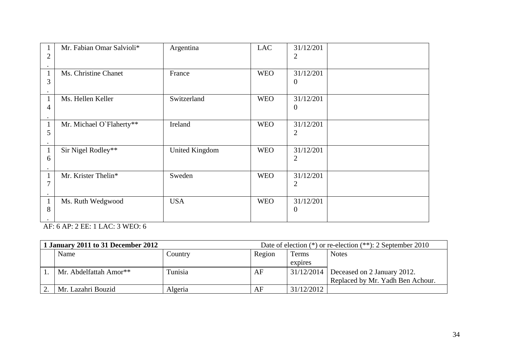| 2                      | Mr. Fabian Omar Salvioli* | Argentina             | <b>LAC</b> | 31/12/201<br>2                |  |
|------------------------|---------------------------|-----------------------|------------|-------------------------------|--|
| $\mathbf 1$<br>3       | Ms. Christine Chanet      | France                | <b>WEO</b> | 31/12/201<br>$\boldsymbol{0}$ |  |
| $\mathbf{1}$<br>4      | Ms. Hellen Keller         | Switzerland           | <b>WEO</b> | 31/12/201<br>$\theta$         |  |
| $\mathbf{1}$<br>5      | Mr. Michael O'Flaherty**  | Ireland               | <b>WEO</b> | 31/12/201<br>2                |  |
| 1<br>6                 | Sir Nigel Rodley**        | <b>United Kingdom</b> | <b>WEO</b> | 31/12/201<br>$\overline{2}$   |  |
| $\mathbf{1}$<br>7      | Mr. Krister Thelin*       | Sweden                | <b>WEO</b> | 31/12/201<br>2                |  |
| $\mathbf{1}$<br>8<br>٠ | Ms. Ruth Wedgwood         | <b>USA</b>            | <b>WEO</b> | 31/12/201<br>$\boldsymbol{0}$ |  |

AF: 6 AP: 2 EE: 1 LAC: 3 WEO: 6

| 1 January 2011 to 31 December 2012 |                        |         | Date of election $(*)$ or re-election $(**)$ : 2 September 2010 |            |                                  |
|------------------------------------|------------------------|---------|-----------------------------------------------------------------|------------|----------------------------------|
|                                    | Name                   | Country | Region                                                          | Terms      | <b>Notes</b>                     |
|                                    |                        |         |                                                                 | expires    |                                  |
|                                    | Mr. Abdelfattah Amor** | Tunisia | AF                                                              | 31/12/2014 | Deceased on 2 January 2012.      |
|                                    |                        |         |                                                                 |            | Replaced by Mr. Yadh Ben Achour. |
|                                    | Mr. Lazahri Bouzid     | Algeria | AF                                                              | 31/12/2012 |                                  |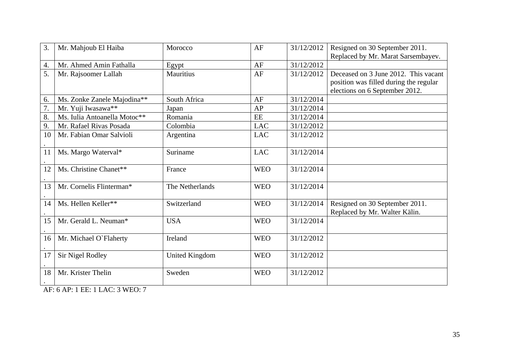| 3. | Mr. Mahjoub El Haiba         | Morocco               | AF         | 31/12/2012 | Resigned on 30 September 2011.<br>Replaced by Mr. Marat Sarsembayev.                                             |
|----|------------------------------|-----------------------|------------|------------|------------------------------------------------------------------------------------------------------------------|
| 4. | Mr. Ahmed Amin Fathalla      | Egypt                 | AF         | 31/12/2012 |                                                                                                                  |
| 5. | Mr. Rajsoomer Lallah         | <b>Mauritius</b>      | AF         | 31/12/2012 | Deceased on 3 June 2012. This vacant<br>position was filled during the regular<br>elections on 6 September 2012. |
| 6. | Ms. Zonke Zanele Majodina**  | South Africa          | AF         | 31/12/2014 |                                                                                                                  |
| 7. | Mr. Yuji Iwasawa**           | Japan                 | AP         | 31/12/2014 |                                                                                                                  |
| 8. | Ms. Iulia Antoanella Motoc** | Romania               | EE         | 31/12/2014 |                                                                                                                  |
| 9. | Mr. Rafael Rivas Posada      | Colombia              | <b>LAC</b> | 31/12/2012 |                                                                                                                  |
| 10 | Mr. Fabian Omar Salvioli     | Argentina             | <b>LAC</b> | 31/12/2012 |                                                                                                                  |
| 11 | Ms. Margo Waterval*          | Suriname              | <b>LAC</b> | 31/12/2014 |                                                                                                                  |
| 12 | Ms. Christine Chanet**       | France                | <b>WEO</b> | 31/12/2014 |                                                                                                                  |
| 13 | Mr. Cornelis Flinterman*     | The Netherlands       | <b>WEO</b> | 31/12/2014 |                                                                                                                  |
| 14 | Ms. Hellen Keller**          | Switzerland           | <b>WEO</b> | 31/12/2014 | Resigned on 30 September 2011.<br>Replaced by Mr. Walter Kälin.                                                  |
| 15 | Mr. Gerald L. Neuman*        | <b>USA</b>            | <b>WEO</b> | 31/12/2014 |                                                                                                                  |
| 16 | Mr. Michael O'Flaherty       | Ireland               | <b>WEO</b> | 31/12/2012 |                                                                                                                  |
| 17 | <b>Sir Nigel Rodley</b>      | <b>United Kingdom</b> | <b>WEO</b> | 31/12/2012 |                                                                                                                  |
| 18 | Mr. Krister Thelin           | Sweden                | <b>WEO</b> | 31/12/2012 |                                                                                                                  |

AF: 6 AP: 1 EE: 1 LAC: 3 WEO: 7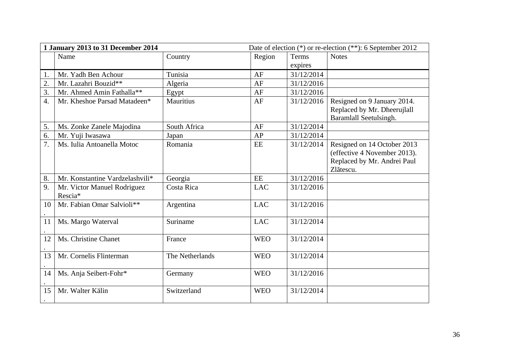| Date of election (*) or re-election (**): 6 September 2012<br>1 January 2013 to 31 December 2014 |                                        |                  |            |              |                                                                                                         |
|--------------------------------------------------------------------------------------------------|----------------------------------------|------------------|------------|--------------|---------------------------------------------------------------------------------------------------------|
|                                                                                                  | Name                                   | Country          | Region     | <b>Terms</b> | <b>Notes</b>                                                                                            |
|                                                                                                  |                                        |                  |            | expires      |                                                                                                         |
| 1.                                                                                               | Mr. Yadh Ben Achour                    | Tunisia          | AF         | 31/12/2014   |                                                                                                         |
| 2.                                                                                               | Mr. Lazahri Bouzid**                   | Algeria          | AF         | 31/12/2016   |                                                                                                         |
| 3.                                                                                               | Mr. Ahmed Amin Fathalla**              | Egypt            | AF         | 31/12/2016   |                                                                                                         |
| 4.                                                                                               | Mr. Kheshoe Parsad Matadeen*           | <b>Mauritius</b> | AF         | 31/12/2016   | Resigned on 9 January 2014.<br>Replaced by Mr. Dheerujlall<br>Baramlall Seetulsingh.                    |
| 5.                                                                                               | Ms. Zonke Zanele Majodina              | South Africa     | AF         | 31/12/2014   |                                                                                                         |
| 6.                                                                                               | Mr. Yuji Iwasawa                       | Japan            | AP         | 31/12/2014   |                                                                                                         |
| 7.                                                                                               | Ms. Iulia Antoanella Motoc             | Romania          | EE         | 31/12/2014   | Resigned on 14 October 2013<br>(effective 4 November 2013).<br>Replaced by Mr. Andrei Paul<br>Zlătescu. |
| 8.                                                                                               | Mr. Konstantine Vardzelashvili*        | Georgia          | EE         | 31/12/2016   |                                                                                                         |
| 9.                                                                                               | Mr. Victor Manuel Rodriguez<br>Rescia* | Costa Rica       | <b>LAC</b> | 31/12/2016   |                                                                                                         |
| 10                                                                                               | Mr. Fabian Omar Salvioli**             | Argentina        | <b>LAC</b> | 31/12/2016   |                                                                                                         |
| 11                                                                                               | Ms. Margo Waterval                     | Suriname         | <b>LAC</b> | 31/12/2014   |                                                                                                         |
| 12                                                                                               | Ms. Christine Chanet                   | France           | <b>WEO</b> | 31/12/2014   |                                                                                                         |
| 13                                                                                               | Mr. Cornelis Flinterman                | The Netherlands  | <b>WEO</b> | 31/12/2014   |                                                                                                         |
| 14                                                                                               | Ms. Anja Seibert-Fohr*                 | Germany          | <b>WEO</b> | 31/12/2016   |                                                                                                         |
| 15                                                                                               | Mr. Walter Kälin                       | Switzerland      | <b>WEO</b> | 31/12/2014   |                                                                                                         |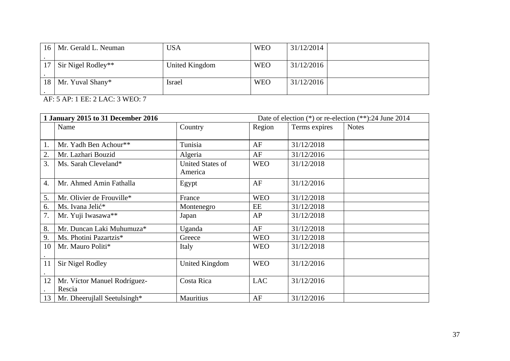| 16 <sup>1</sup> | Mr. Gerald L. Neuman | <b>USA</b>     | <b>WEO</b> | 31/12/2014 |  |
|-----------------|----------------------|----------------|------------|------------|--|
|                 | Sir Nigel Rodley**   | United Kingdom | <b>WEO</b> | 31/12/2016 |  |
| 18 l            | Mr. Yuval Shany*     | Israel         | <b>WEO</b> | 31/12/2016 |  |

AF: 5 AP: 1 EE: 2 LAC: 3 WEO: 7

| 1 January 2015 to 31 December 2016 |                                        |                                    |            |               | Date of election $(*)$ or re-election $(**)$ :24 June 2014 |
|------------------------------------|----------------------------------------|------------------------------------|------------|---------------|------------------------------------------------------------|
|                                    | Name                                   | Country                            | Region     | Terms expires | <b>Notes</b>                                               |
|                                    |                                        |                                    |            |               |                                                            |
| 1.                                 | Mr. Yadh Ben Achour**                  | Tunisia                            | AF         | 31/12/2018    |                                                            |
| 2.                                 | Mr. Lazhari Bouzid                     | Algeria                            | AF         | 31/12/2016    |                                                            |
| 3.                                 | Ms. Sarah Cleveland*                   | <b>United States of</b><br>America | <b>WEO</b> | 31/12/2018    |                                                            |
| 4.                                 | Mr. Ahmed Amin Fathalla                | Egypt                              | AF         | 31/12/2016    |                                                            |
| 5.                                 | Mr. Olivier de Frouville*              | France                             | <b>WEO</b> | 31/12/2018    |                                                            |
| 6.                                 | Ms. Ivana Jelić*                       | Montenegro                         | EE         | 31/12/2018    |                                                            |
| 7.                                 | Mr. Yuji Iwasawa**                     | Japan                              | AP         | 31/12/2018    |                                                            |
| 8.                                 | Mr. Duncan Laki Muhumuza*              | Uganda                             | AF         | 31/12/2018    |                                                            |
| 9.                                 | Ms. Photini Pazartzis*                 | Greece                             | <b>WEO</b> | 31/12/2018    |                                                            |
| 10                                 | Mr. Mauro Politi*                      | Italy                              | <b>WEO</b> | 31/12/2018    |                                                            |
| 11                                 | <b>Sir Nigel Rodley</b>                | <b>United Kingdom</b>              | <b>WEO</b> | 31/12/2016    |                                                            |
| 12                                 | Mr. Víctor Manuel Rodríguez-<br>Rescia | Costa Rica                         | <b>LAC</b> | 31/12/2016    |                                                            |
| $13-1$                             | Mr. Dheerujlall Seetulsingh*           | <b>Mauritius</b>                   | AF         | 31/12/2016    |                                                            |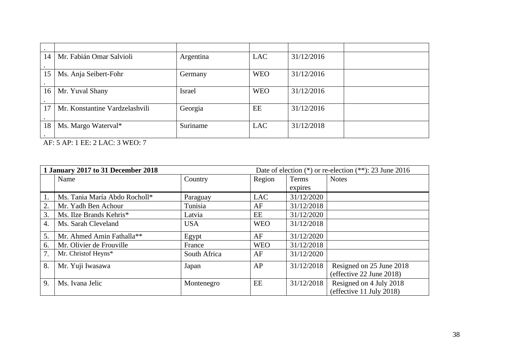| 14              | Mr. Fabián Omar Salvioli       | Argentina     | <b>LAC</b> | 31/12/2016 |  |
|-----------------|--------------------------------|---------------|------------|------------|--|
| 15              | Ms. Anja Seibert-Fohr          | Germany       | <b>WEO</b> | 31/12/2016 |  |
| 16 <sup>1</sup> | Mr. Yuval Shany                | <b>Israel</b> | <b>WEO</b> | 31/12/2016 |  |
| 17              | Mr. Konstantine Vardzelashvili | Georgia       | EE         | 31/12/2016 |  |
| 18              | Ms. Margo Waterval*            | Suriname      | <b>LAC</b> | 31/12/2018 |  |

AF: 5 AP: 1 EE: 2 LAC: 3 WEO: 7

| 1 January 2017 to 31 December 2018<br>Date of election $(*)$ or re-election $(**)$ : 23 June 2016 |                               |              |            |              |                                                      |
|---------------------------------------------------------------------------------------------------|-------------------------------|--------------|------------|--------------|------------------------------------------------------|
|                                                                                                   | Name                          | Country      | Region     | <b>Notes</b> |                                                      |
|                                                                                                   |                               |              |            | expires      |                                                      |
|                                                                                                   | Ms. Tania María Abdo Rocholl* | Paraguay     | <b>LAC</b> | 31/12/2020   |                                                      |
| 2.                                                                                                | Mr. Yadh Ben Achour           | Tunisia      | AF         | 31/12/2018   |                                                      |
| 3.                                                                                                | Ms. Ilze Brands Kehris*       | Latvia       | EE         | 31/12/2020   |                                                      |
| 4.                                                                                                | Ms. Sarah Cleveland           | <b>USA</b>   | <b>WEO</b> | 31/12/2018   |                                                      |
| 5.                                                                                                | Mr. Ahmed Amin Fathalla**     | Egypt        | AF         | 31/12/2020   |                                                      |
| 6.                                                                                                | Mr. Olivier de Frouville      | France       | <b>WEO</b> | 31/12/2018   |                                                      |
| 7.                                                                                                | Mr. Christof Heyns*           | South Africa | AF         | 31/12/2020   |                                                      |
| 8.                                                                                                | Mr. Yuji Iwasawa              | Japan        | AP         | 31/12/2018   | Resigned on 25 June 2018<br>(effective 22 June 2018) |
| 9.                                                                                                | Ms. Ivana Jelic               | Montenegro   | EE         | 31/12/2018   | Resigned on 4 July 2018<br>(effective 11 July 2018)  |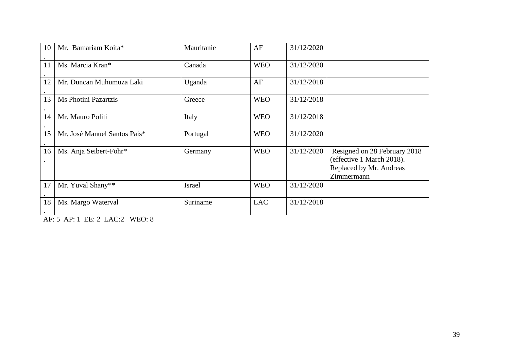| 10              | Mr. Bamariam Koita*          | Mauritanie    | AF         | 31/12/2020 |                                                                                                    |
|-----------------|------------------------------|---------------|------------|------------|----------------------------------------------------------------------------------------------------|
| 11              | Ms. Marcia Kran*             | Canada        | <b>WEO</b> | 31/12/2020 |                                                                                                    |
| 12              | Mr. Duncan Muhumuza Laki     | Uganda        | AF         | 31/12/2018 |                                                                                                    |
| 13              | Ms Photini Pazartzis         | Greece        | <b>WEO</b> | 31/12/2018 |                                                                                                    |
| 14              | Mr. Mauro Politi             | Italy         | <b>WEO</b> | 31/12/2018 |                                                                                                    |
| 15              | Mr. José Manuel Santos Pais* | Portugal      | <b>WEO</b> | 31/12/2020 |                                                                                                    |
| 16<br>$\bullet$ | Ms. Anja Seibert-Fohr*       | Germany       | <b>WEO</b> | 31/12/2020 | Resigned on 28 February 2018<br>(effective 1 March 2018).<br>Replaced by Mr. Andreas<br>Zimmermann |
| 17              | Mr. Yuval Shany**            | <b>Israel</b> | <b>WEO</b> | 31/12/2020 |                                                                                                    |
| 18              | Ms. Margo Waterval           | Suriname      | <b>LAC</b> | 31/12/2018 |                                                                                                    |

AF: 5 AP: 1 EE: 2 LAC:2 WEO: 8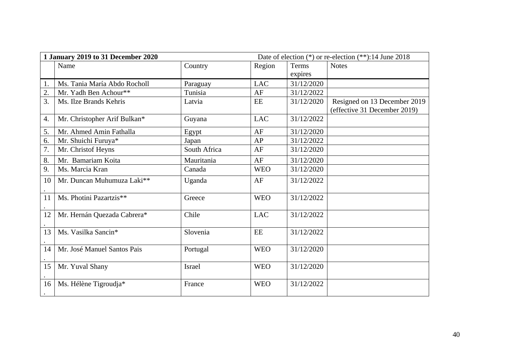| 1 January 2019 to 31 December 2020 |                              |               |            |            | Date of election (*) or re-election (**):14 June 2018        |
|------------------------------------|------------------------------|---------------|------------|------------|--------------------------------------------------------------|
|                                    | Name                         | Country       | Region     | Terms      | <b>Notes</b>                                                 |
|                                    |                              |               |            | expires    |                                                              |
| 1.                                 | Ms. Tania María Abdo Rocholl | Paraguay      | <b>LAC</b> | 31/12/2020 |                                                              |
| 2.                                 | Mr. Yadh Ben Achour**        | Tunisia       | AF         | 31/12/2022 |                                                              |
| 3.                                 | Ms. Ilze Brands Kehris       | Latvia        | EE         | 31/12/2020 | Resigned on 13 December 2019<br>(effective 31 December 2019) |
| 4.                                 | Mr. Christopher Arif Bulkan* | Guyana        | <b>LAC</b> | 31/12/2022 |                                                              |
| 5.                                 | Mr. Ahmed Amin Fathalla      | Egypt         | AF         | 31/12/2020 |                                                              |
| 6.                                 | Mr. Shuichi Furuya*          | Japan         | AP         | 31/12/2022 |                                                              |
| 7.                                 | Mr. Christof Heyns           | South Africa  | AF         | 31/12/2020 |                                                              |
| 8.                                 | Mr. Bamariam Koita           | Mauritania    | AF         | 31/12/2020 |                                                              |
| 9.                                 | Ms. Marcia Kran              | Canada        | <b>WEO</b> | 31/12/2020 |                                                              |
| 10                                 | Mr. Duncan Muhumuza Laki**   | Uganda        | AF         | 31/12/2022 |                                                              |
| 11                                 | Ms. Photini Pazartzis**      | Greece        | <b>WEO</b> | 31/12/2022 |                                                              |
| 12                                 | Mr. Hernán Quezada Cabrera*  | Chile         | <b>LAC</b> | 31/12/2022 |                                                              |
| 13                                 | Ms. Vasilka Sancin*          | Slovenia      | EE         | 31/12/2022 |                                                              |
| 14                                 | Mr. José Manuel Santos Pais  | Portugal      | <b>WEO</b> | 31/12/2020 |                                                              |
| 15                                 | Mr. Yuval Shany              | <b>Israel</b> | <b>WEO</b> | 31/12/2020 |                                                              |
| 16                                 | Ms. Hélène Tigroudja*        | France        | <b>WEO</b> | 31/12/2022 |                                                              |